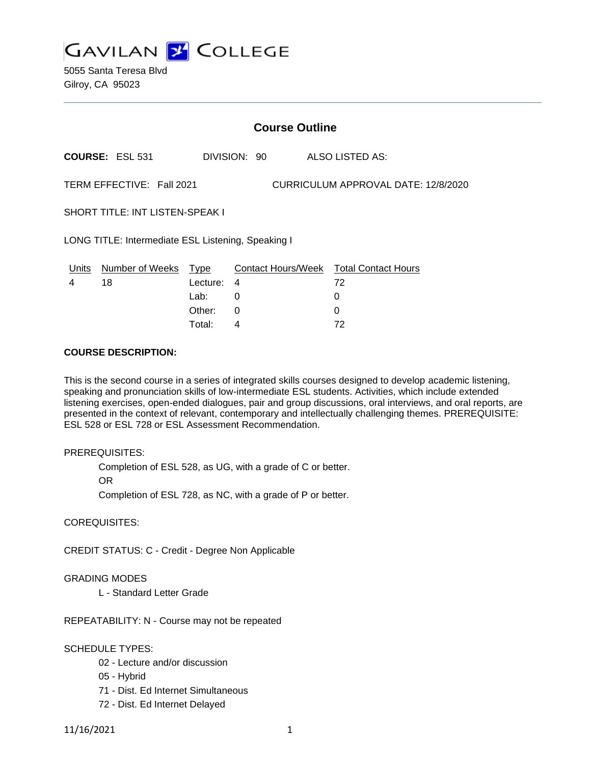

5055 Santa Teresa Blvd Gilroy, CA 95023

|                                                                  | <b>Course Outline</b>  |          |              |  |                                        |  |
|------------------------------------------------------------------|------------------------|----------|--------------|--|----------------------------------------|--|
|                                                                  | <b>COURSE: ESL 531</b> |          | DIVISION: 90 |  | ALSO LISTED AS:                        |  |
| TERM EFFECTIVE: Fall 2021<br>CURRICULUM APPROVAL DATE: 12/8/2020 |                        |          |              |  |                                        |  |
| <b>SHORT TITLE: INT LISTEN-SPEAK I</b>                           |                        |          |              |  |                                        |  |
| LONG TITLE: Intermediate ESL Listening, Speaking I               |                        |          |              |  |                                        |  |
| Units                                                            | Number of Weeks Type   |          |              |  | Contact Hours/Week Total Contact Hours |  |
| 4                                                                | 18                     | Lecture: | 4            |  | 72                                     |  |
|                                                                  |                        | Lab:     | 0            |  | 0                                      |  |
|                                                                  |                        | Other:   | 0            |  | 0                                      |  |

Total: 4 72

## **COURSE DESCRIPTION:**

This is the second course in a series of integrated skills courses designed to develop academic listening, speaking and pronunciation skills of low-intermediate ESL students. Activities, which include extended listening exercises, open-ended dialogues, pair and group discussions, oral interviews, and oral reports, are presented in the context of relevant, contemporary and intellectually challenging themes. PREREQUISITE: ESL 528 or ESL 728 or ESL Assessment Recommendation.

#### PREREQUISITES:

Completion of ESL 528, as UG, with a grade of C or better.

OR

Completion of ESL 728, as NC, with a grade of P or better.

COREQUISITES:

CREDIT STATUS: C - Credit - Degree Non Applicable

# GRADING MODES

L - Standard Letter Grade

REPEATABILITY: N - Course may not be repeated

# SCHEDULE TYPES:

- 02 Lecture and/or discussion
- 05 Hybrid
- 71 Dist. Ed Internet Simultaneous
- 72 Dist. Ed Internet Delayed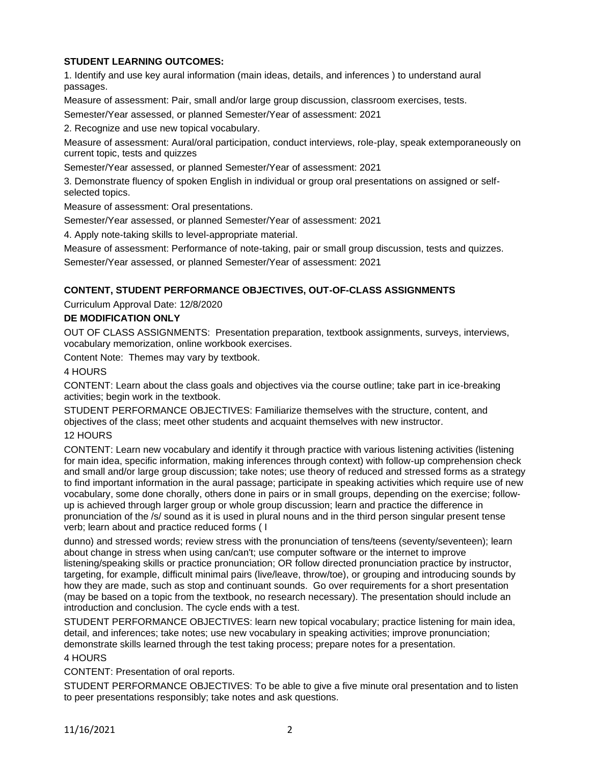# **STUDENT LEARNING OUTCOMES:**

1. Identify and use key aural information (main ideas, details, and inferences ) to understand aural passages.

Measure of assessment: Pair, small and/or large group discussion, classroom exercises, tests.

Semester/Year assessed, or planned Semester/Year of assessment: 2021

2. Recognize and use new topical vocabulary.

Measure of assessment: Aural/oral participation, conduct interviews, role-play, speak extemporaneously on current topic, tests and quizzes

Semester/Year assessed, or planned Semester/Year of assessment: 2021

3. Demonstrate fluency of spoken English in individual or group oral presentations on assigned or selfselected topics.

Measure of assessment: Oral presentations.

Semester/Year assessed, or planned Semester/Year of assessment: 2021

4. Apply note-taking skills to level-appropriate material.

Measure of assessment: Performance of note-taking, pair or small group discussion, tests and quizzes.

Semester/Year assessed, or planned Semester/Year of assessment: 2021

# **CONTENT, STUDENT PERFORMANCE OBJECTIVES, OUT-OF-CLASS ASSIGNMENTS**

Curriculum Approval Date: 12/8/2020

## **DE MODIFICATION ONLY**

OUT OF CLASS ASSIGNMENTS: Presentation preparation, textbook assignments, surveys, interviews, vocabulary memorization, online workbook exercises.

Content Note: Themes may vary by textbook.

## 4 HOURS

CONTENT: Learn about the class goals and objectives via the course outline; take part in ice-breaking activities; begin work in the textbook.

STUDENT PERFORMANCE OBJECTIVES: Familiarize themselves with the structure, content, and objectives of the class; meet other students and acquaint themselves with new instructor.

#### 12 HOURS

CONTENT: Learn new vocabulary and identify it through practice with various listening activities (listening for main idea, specific information, making inferences through context) with follow-up comprehension check and small and/or large group discussion; take notes; use theory of reduced and stressed forms as a strategy to find important information in the aural passage; participate in speaking activities which require use of new vocabulary, some done chorally, others done in pairs or in small groups, depending on the exercise; followup is achieved through larger group or whole group discussion; learn and practice the difference in pronunciation of the /s/ sound as it is used in plural nouns and in the third person singular present tense verb; learn about and practice reduced forms ( I

dunno) and stressed words; review stress with the pronunciation of tens/teens (seventy/seventeen); learn about change in stress when using can/can't; use computer software or the internet to improve listening/speaking skills or practice pronunciation; OR follow directed pronunciation practice by instructor, targeting, for example, difficult minimal pairs (live/leave, throw/toe), or grouping and introducing sounds by how they are made, such as stop and continuant sounds. Go over requirements for a short presentation (may be based on a topic from the textbook, no research necessary). The presentation should include an introduction and conclusion. The cycle ends with a test.

STUDENT PERFORMANCE OBJECTIVES: learn new topical vocabulary; practice listening for main idea, detail, and inferences; take notes; use new vocabulary in speaking activities; improve pronunciation; demonstrate skills learned through the test taking process; prepare notes for a presentation.

## 4 HOURS

CONTENT: Presentation of oral reports.

STUDENT PERFORMANCE OBJECTIVES: To be able to give a five minute oral presentation and to listen to peer presentations responsibly; take notes and ask questions.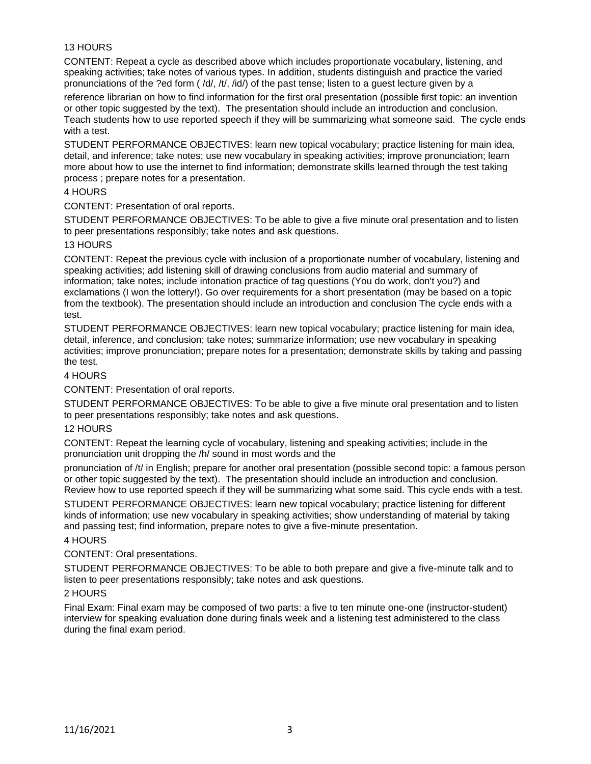# 13 HOURS

CONTENT: Repeat a cycle as described above which includes proportionate vocabulary, listening, and speaking activities; take notes of various types. In addition, students distinguish and practice the varied pronunciations of the ?ed form ( /d/, /t/, /id/) of the past tense; listen to a guest lecture given by a

reference librarian on how to find information for the first oral presentation (possible first topic: an invention or other topic suggested by the text). The presentation should include an introduction and conclusion. Teach students how to use reported speech if they will be summarizing what someone said. The cycle ends with a test.

STUDENT PERFORMANCE OBJECTIVES: learn new topical vocabulary; practice listening for main idea, detail, and inference; take notes; use new vocabulary in speaking activities; improve pronunciation; learn more about how to use the internet to find information; demonstrate skills learned through the test taking process ; prepare notes for a presentation.

# 4 HOURS

CONTENT: Presentation of oral reports.

STUDENT PERFORMANCE OBJECTIVES: To be able to give a five minute oral presentation and to listen to peer presentations responsibly; take notes and ask questions.

## 13 HOURS

CONTENT: Repeat the previous cycle with inclusion of a proportionate number of vocabulary, listening and speaking activities; add listening skill of drawing conclusions from audio material and summary of information; take notes; include intonation practice of tag questions (You do work, don't you?) and exclamations (I won the lottery!). Go over requirements for a short presentation (may be based on a topic from the textbook). The presentation should include an introduction and conclusion The cycle ends with a test.

STUDENT PERFORMANCE OBJECTIVES: learn new topical vocabulary; practice listening for main idea, detail, inference, and conclusion; take notes; summarize information; use new vocabulary in speaking activities; improve pronunciation; prepare notes for a presentation; demonstrate skills by taking and passing the test.

## 4 HOURS

CONTENT: Presentation of oral reports.

STUDENT PERFORMANCE OBJECTIVES: To be able to give a five minute oral presentation and to listen to peer presentations responsibly; take notes and ask questions.

# 12 HOURS

CONTENT: Repeat the learning cycle of vocabulary, listening and speaking activities; include in the pronunciation unit dropping the /h/ sound in most words and the

pronunciation of /t/ in English; prepare for another oral presentation (possible second topic: a famous person or other topic suggested by the text). The presentation should include an introduction and conclusion. Review how to use reported speech if they will be summarizing what some said. This cycle ends with a test.

STUDENT PERFORMANCE OBJECTIVES: learn new topical vocabulary; practice listening for different kinds of information; use new vocabulary in speaking activities; show understanding of material by taking and passing test; find information, prepare notes to give a five-minute presentation.

#### 4 HOURS

# CONTENT: Oral presentations.

STUDENT PERFORMANCE OBJECTIVES: To be able to both prepare and give a five-minute talk and to listen to peer presentations responsibly; take notes and ask questions.

#### 2 HOURS

Final Exam: Final exam may be composed of two parts: a five to ten minute one-one (instructor-student) interview for speaking evaluation done during finals week and a listening test administered to the class during the final exam period.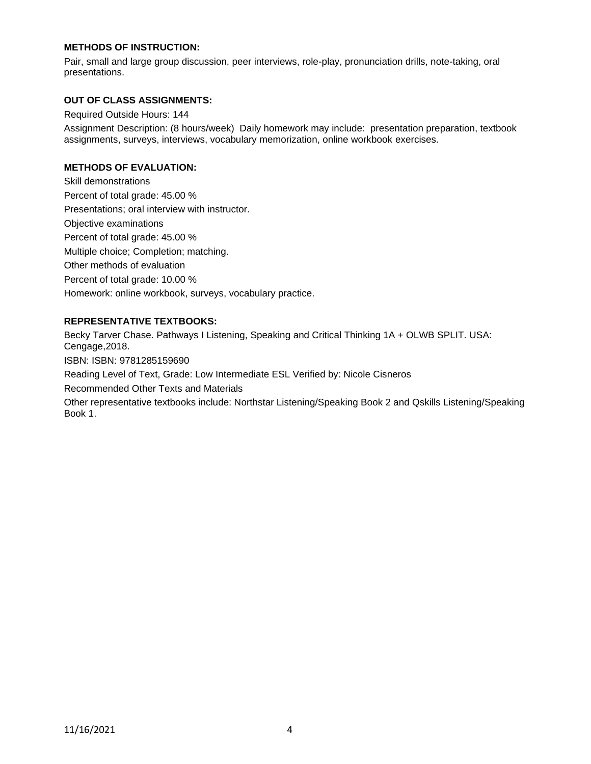# **METHODS OF INSTRUCTION:**

Pair, small and large group discussion, peer interviews, role-play, pronunciation drills, note-taking, oral presentations.

## **OUT OF CLASS ASSIGNMENTS:**

Required Outside Hours: 144

Assignment Description: (8 hours/week) Daily homework may include: presentation preparation, textbook assignments, surveys, interviews, vocabulary memorization, online workbook exercises.

# **METHODS OF EVALUATION:**

Skill demonstrations Percent of total grade: 45.00 % Presentations; oral interview with instructor. Objective examinations Percent of total grade: 45.00 % Multiple choice; Completion; matching. Other methods of evaluation Percent of total grade: 10.00 % Homework: online workbook, surveys, vocabulary practice.

# **REPRESENTATIVE TEXTBOOKS:**

Becky Tarver Chase. Pathways I Listening, Speaking and Critical Thinking 1A + OLWB SPLIT. USA: Cengage,2018.

ISBN: ISBN: 9781285159690

Reading Level of Text, Grade: Low Intermediate ESL Verified by: Nicole Cisneros

Recommended Other Texts and Materials

Other representative textbooks include: Northstar Listening/Speaking Book 2 and Qskills Listening/Speaking Book 1.